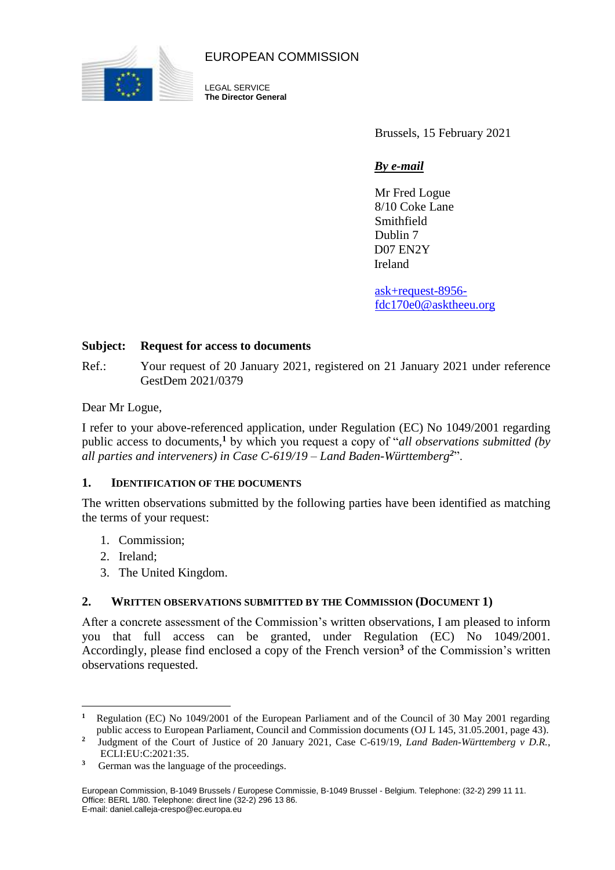

EUROPEAN COMMISSION

LEGAL SERVICE **The Director General**

Brussels, 15 February 2021

# *By e-mail*

Mr Fred Logue 8/10 Coke Lane Smithfield Dublin 7 D07 EN2Y Ireland

[ask+request-8956](mailto:ask+request-8956-fdc170e0@asktheeu.) [fdc170e0@asktheeu.o](mailto:ask+request-8956-fdc170e0@asktheeu.)rg

### **Subject: Request for access to documents**

Ref.: Your request of 20 January 2021, registered on 21 January 2021 under reference GestDem 2021/0379

Dear Mr Logue,

I refer to your above-referenced application, under Regulation (EC) No 1049/2001 regarding public access to documents,**<sup>1</sup>** by which you request a copy of "*all observations submitted (by all parties and interveners) in Case C-619/19 – Land Baden-Württemberg<sup>2</sup>*".

### **1. IDENTIFICATION OF THE DOCUMENTS**

The written observations submitted by the following parties have been identified as matching the terms of your request:

- 1. Commission;
- 2. Ireland;

 $\overline{a}$ 

3. The United Kingdom.

### **2. WRITTEN OBSERVATIONS SUBMITTED BY THE COMMISSION (DOCUMENT 1)**

After a concrete assessment of the Commission's written observations, I am pleased to inform you that full access can be granted, under Regulation (EC) No 1049/2001. Accordingly, please find enclosed a copy of the French version**<sup>3</sup>** of the Commission's written observations requested.

**<sup>1</sup>** Regulation (EC) No 1049/2001 of the European Parliament and of the Council of 30 May 2001 regarding public access to European Parliament, Council and Commission documents (OJ L 145, 31.05.2001, page 43).

**<sup>2</sup>** Judgment of the Court of Justice of 20 January 2021, Case C-619/19, *Land Baden-Württemberg v D.R.*, ECLI:EU:C:2021:35.

<sup>&</sup>lt;sup>3</sup> German was the language of the proceedings.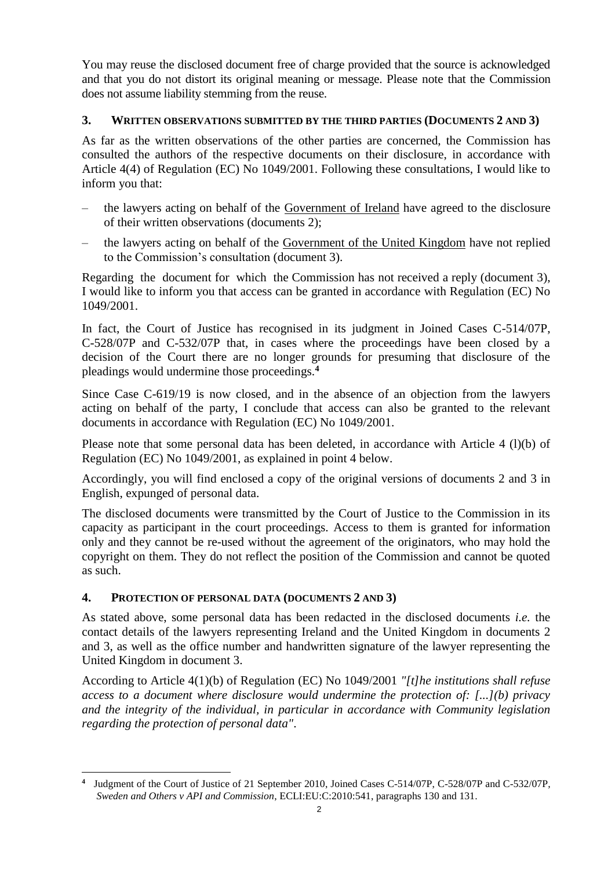You may reuse the disclosed document free of charge provided that the source is acknowledged and that you do not distort its original meaning or message. Please note that the Commission does not assume liability stemming from the reuse.

# **3. WRITTEN OBSERVATIONS SUBMITTED BY THE THIRD PARTIES (DOCUMENTS 2 AND 3)**

As far as the written observations of the other parties are concerned, the Commission has consulted the authors of the respective documents on their disclosure, in accordance with Article 4(4) of Regulation (EC) No 1049/2001. Following these consultations, I would like to inform you that:

- the lawyers acting on behalf of the Government of Ireland have agreed to the disclosure of their written observations (documents 2);
- the lawyers acting on behalf of the Government of the United Kingdom have not replied to the Commission's consultation (document 3).

Regarding the document for which the Commission has not received a reply (document 3), I would like to inform you that access can be granted in accordance with Regulation (EC) No 1049/2001.

In fact, the Court of Justice has recognised in its judgment in Joined Cases C-514/07P, C-528/07P and C-532/07P that, in cases where the proceedings have been closed by a decision of the Court there are no longer grounds for presuming that disclosure of the pleadings would undermine those proceedings.**<sup>4</sup>**

Since Case C-619/19 is now closed, and in the absence of an objection from the lawyers acting on behalf of the party, I conclude that access can also be granted to the relevant documents in accordance with Regulation (EC) No 1049/2001.

Please note that some personal data has been deleted, in accordance with Article 4 (l)(b) of Regulation (EC) No 1049/2001, as explained in point 4 below.

Accordingly, you will find enclosed a copy of the original versions of documents 2 and 3 in English, expunged of personal data.

The disclosed documents were transmitted by the Court of Justice to the Commission in its capacity as participant in the court proceedings. Access to them is granted for information only and they cannot be re-used without the agreement of the originators, who may hold the copyright on them. They do not reflect the position of the Commission and cannot be quoted as such.

## **4. PROTECTION OF PERSONAL DATA (DOCUMENTS 2 AND 3)**

 $\overline{a}$ 

As stated above, some personal data has been redacted in the disclosed documents *i.e.* the contact details of the lawyers representing Ireland and the United Kingdom in documents 2 and 3, as well as the office number and handwritten signature of the lawyer representing the United Kingdom in document 3.

According to Article 4(1)(b) of Regulation (EC) No 1049/2001 *"[t]he institutions shall refuse access to a document where disclosure would undermine the protection of: [...](b) privacy and the integrity of the individual, in particular in accordance with Community legislation regarding the protection of personal data"*.

**<sup>4</sup>** Judgment of the Court of Justice of 21 September 2010, Joined Cases C-514/07P, C-528/07P and C-532/07P*, Sweden and Others v API and Commission*, ECLI:EU:C:2010:541, paragraphs 130 and 131.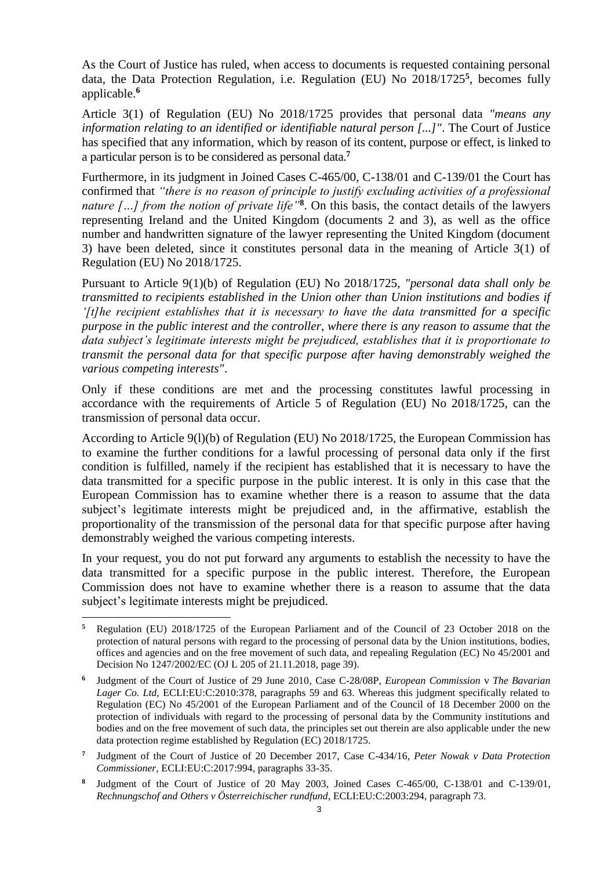As the Court of Justice has ruled, when access to documents is requested containing personal data, the Data Protection Regulation, i.e. Regulation (EU) No 2018/1725**<sup>5</sup>** , becomes fully applicable.**<sup>6</sup>**

Article 3(1) of Regulation (EU) No 2018/1725 provides that personal data *"means any information relating to an identified or identifiable natural person [...]"*. The Court of Justice has specified that any information, which by reason of its content, purpose or effect, is linked to a particular person is to be considered as personal data.**<sup>7</sup>**

Furthermore, in its judgment in Joined Cases C-465/00, C-138/01 and C-139/01 the Court has confirmed that *"there is no reason of principle to justify excluding activities of a professional nature […] from the notion of private life"***<sup>8</sup>** . On this basis, the contact details of the lawyers representing Ireland and the United Kingdom (documents 2 and 3), as well as the office number and handwritten signature of the lawyer representing the United Kingdom (document 3) have been deleted, since it constitutes personal data in the meaning of Article 3(1) of Regulation (EU) No 2018/1725.

Pursuant to Article 9(1)(b) of Regulation (EU) No 2018/1725, *"personal data shall only be transmitted to recipients established in the Union other than Union institutions and bodies if '[t]he recipient establishes that it is necessary to have the data transmitted for a specific purpose in the public interest and the controller, where there is any reason to assume that the data subject's legitimate interests might be prejudiced, establishes that it is proportionate to transmit the personal data for that specific purpose after having demonstrably weighed the various competing interests"*.

Only if these conditions are met and the processing constitutes lawful processing in accordance with the requirements of Article 5 of Regulation (EU) No 2018/1725, can the transmission of personal data occur.

According to Article 9(l)(b) of Regulation (EU) No 2018/1725, the European Commission has to examine the further conditions for a lawful processing of personal data only if the first condition is fulfilled, namely if the recipient has established that it is necessary to have the data transmitted for a specific purpose in the public interest. It is only in this case that the European Commission has to examine whether there is a reason to assume that the data subject's legitimate interests might be prejudiced and, in the affirmative, establish the proportionality of the transmission of the personal data for that specific purpose after having demonstrably weighed the various competing interests.

In your request, you do not put forward any arguments to establish the necessity to have the data transmitted for a specific purpose in the public interest. Therefore, the European Commission does not have to examine whether there is a reason to assume that the data subject's legitimate interests might be prejudiced.

 $\overline{a}$ 

**<sup>5</sup>** Regulation (EU) 2018/1725 of the European Parliament and of the Council of 23 October 2018 on the protection of natural persons with regard to the processing of personal data by the Union institutions, bodies, offices and agencies and on the free movement of such data, and repealing Regulation (EC) No 45/2001 and Decision No 1247/2002/EC (OJ L 205 of 21.11.2018, page 39).

**<sup>6</sup>** Judgment of the Court of Justice of 29 June 2010, Case C-28/08P, *European Commission* v *The Bavarian Lager Co. Ltd,* ECLI:EU:C:2010:378, paragraphs 59 and 63. Whereas this judgment specifically related to Regulation (EC) No 45/2001 of the European Parliament and of the Council of 18 December 2000 on the protection of individuals with regard to the processing of personal data by the Community institutions and bodies and on the free movement of such data, the principles set out therein are also applicable under the new data protection regime established by Regulation (EC) 2018/1725.

**<sup>7</sup>** Judgment of the Court of Justice of 20 December 2017, Case C-434/16, *Peter Nowak v Data Protection Commissioner*, [ECLI:EU:C:2017:994,](http://curia.europa.eu/juris/document/document.jsf?text=&docid=198059&pageIndex=0&doclang=FR&mode=lst&dir=&occ=first&part=1&cid=1260629) paragraphs 33-35.

**<sup>8</sup>** Judgment of the Court of Justice of 20 May 2003, Joined Cases C-465/00, C-138/01 and C-139/01, *Rechnungschof and Others v Österreichischer rundfund*, ECLI:EU:C:2003:294, paragraph 73.